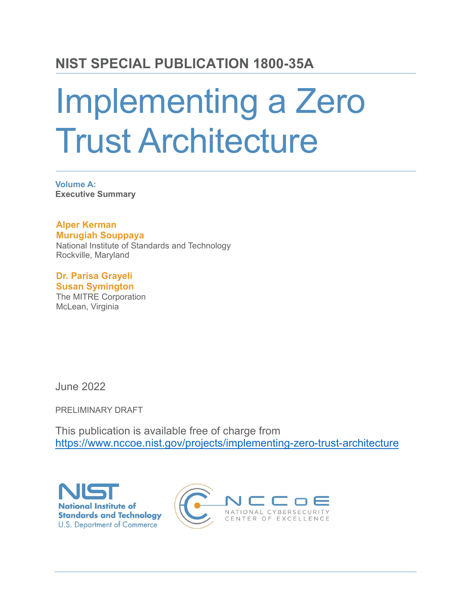# **NIST SPECIAL PUBLICATION 1800-35A**

# Implementing a Zero Trust Architecture

**Volume A: Executive Summary**

**Alper Kerman Murugiah Souppaya** National Institute of Standards and Technology Rockville, Maryland

**Dr. Parisa Grayeli Susan Symington** The MITRE Corporation McLean, Virginia

June 2022

PRELIMINARY DRAFT

This publication is available free of charge from <https://www.nccoe.nist.gov/projects/implementing-zero-trust-architecture>



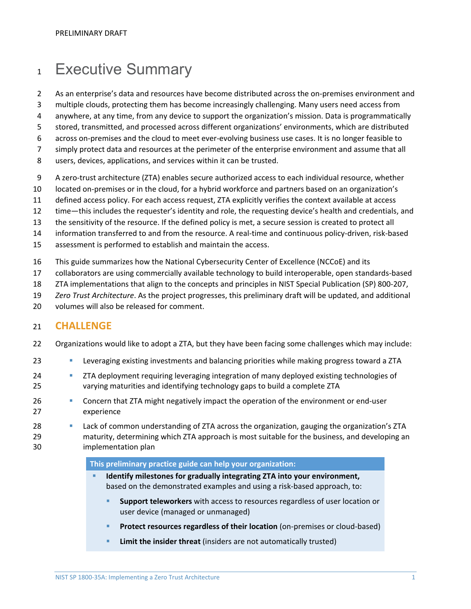# 1 Executive Summary

- 2 As an enterprise's data and resources have become distributed across the on-premises environment and
- 3 multiple clouds, protecting them has become increasingly challenging. Many users need access from
- 4 anywhere, at any time, from any device to support the organization's mission. Data is programmatically
- 5 stored, transmitted, and processed across different organizations' environments, which are distributed
- 6 across on-premises and the cloud to meet ever-evolving business use cases. It is no longer feasible to
- 7 simply protect data and resources at the perimeter of the enterprise environment and assume that all
- 8 users, devices, applications, and services within it can be trusted.
- 9 A zero-trust architecture (ZTA) enables secure authorized access to each individual resource, whether
- 10 located on-premises or in the cloud, for a hybrid workforce and partners based on an organization's
- 11 defined access policy. For each access request, ZTA explicitly verifies the context available at access
- 12 time—this includes the requester's identity and role, the requesting device's health and credentials, and
- 13 the sensitivity of the resource. If the defined policy is met, a secure session is created to protect all
- 14 information transferred to and from the resource. A real-time and continuous policy-driven, risk-based
- 15 assessment is performed to establish and maintain the access.
- 16 This guide summarizes how the National Cybersecurity Center of Excellence (NCCoE) and its
- 17 collaborators are using commercially available technology to build interoperable, open standards-based
- 18 ZTA implementations that align to the concepts and principles in NIST Special Publication (SP) 800-207,
- 19 *Zero Trust Architecture*. As the project progresses, this preliminary draft will be updated, and additional
- 20 volumes will also be released for comment.

# 21 **CHALLENGE**

- 22 Organizations would like to adopt a ZTA, but they have been facing some challenges which may include:
- 23 Leveraging existing investments and balancing priorities while making progress toward a ZTA
- 24 ZTA deployment requiring leveraging integration of many deployed existing technologies of 25 varying maturities and identifying technology gaps to build a complete ZTA
- 26 **Concern that ZTA might negatively impact the operation of the environment or end-user** 27 experience
- 28 Lack of common understanding of ZTA across the organization, gauging the organization's ZTA 29 maturity, determining which ZTA approach is most suitable for the business, and developing an 30 implementation plan

#### **This preliminary practice guide can help your organization:**

- **Identify milestones for gradually integrating ZTA into your environment,** based on the demonstrated examples and using a risk-based approach, to:
	- **Support teleworkers** with access to resources regardless of user location or user device (managed or unmanaged)
	- **Protect resources regardless of their location** (on-premises or cloud-based)
	- **Limit the insider threat** (insiders are not automatically trusted)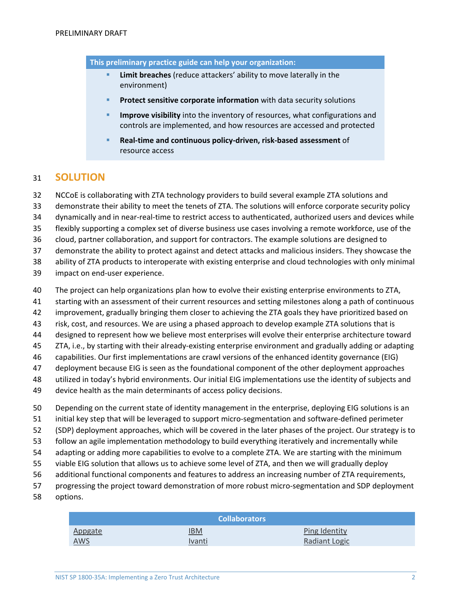**This preliminary practice guide can help your organization:**

- **Limit breaches** (reduce attackers' ability to move laterally in the environment)
- **Protect sensitive corporate information** with data security solutions
- **Improve visibility** into the inventory of resources, what configurations and controls are implemented, and how resources are accessed and protected
- **Real-time and continuous policy-driven, risk-based assessment** of resource access

## **SOLUTION**

NCCoE is collaborating with ZTA technology providers to build several example ZTA solutions and

demonstrate their ability to meet the tenets of ZTA. The solutions will enforce corporate security policy

dynamically and in near-real-time to restrict access to authenticated, authorized users and devices while

flexibly supporting a complex set of diverse business use cases involving a remote workforce, use of the

cloud, partner collaboration, and support for contractors. The example solutions are designed to

demonstrate the ability to protect against and detect attacks and malicious insiders. They showcase the

ability of ZTA products to interoperate with existing enterprise and cloud technologies with only minimal

- impact on end-user experience.
- The project can help organizations plan how to evolve their existing enterprise environments to ZTA,
- starting with an assessment of their current resources and setting milestones along a path of continuous
- improvement, gradually bringing them closer to achieving the ZTA goals they have prioritized based on
- risk, cost, and resources. We are using a phased approach to develop example ZTA solutions that is
- designed to represent how we believe most enterprises will evolve their enterprise architecture toward
- ZTA, i.e., by starting with their already-existing enterprise environment and gradually adding or adapting
- capabilities. Our first implementations are crawl versions of the enhanced identity governance (EIG)
- deployment because EIG is seen as the foundational component of the other deployment approaches
- utilized in today's hybrid environments. Our initial EIG implementations use the identity of subjects and
- device health as the main determinants of access policy decisions.
- Depending on the current state of identity management in the enterprise, deploying EIG solutions is an
- initial key step that will be leveraged to support micro-segmentation and software-defined perimeter
- (SDP) deployment approaches, which will be covered in the later phases of the project. Our strategy is to
- follow an agile implementation methodology to build everything iteratively and incrementally while
- adapting or adding more capabilities to evolve to a complete ZTA. We are starting with the minimum
- viable EIG solution that allows us to achieve some level of ZTA, and then we will gradually deploy
- additional functional components and features to address an increasing number of ZTA requirements,
- progressing the project toward demonstration of more robust micro-segmentation and SDP deployment
- options.

| <b>Collaborators</b> |               |               |  |
|----------------------|---------------|---------------|--|
| Appgate              | IBM           | Ping Identity |  |
| <b>AWS</b>           | <b>Ivanti</b> | Radiant Logic |  |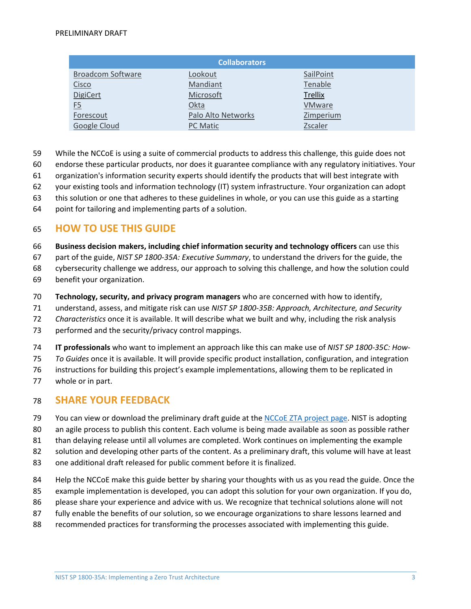| <b>Collaborators</b>     |                    |                |  |
|--------------------------|--------------------|----------------|--|
| <b>Broadcom Software</b> | Lookout            | SailPoint      |  |
| <b>Cisco</b>             | Mandiant           | Tenable        |  |
| <b>DigiCert</b>          | Microsoft          | <b>Trellix</b> |  |
| <u>F5</u>                | Okta               | <b>VMware</b>  |  |
| Forescout                | Palo Alto Networks | Zimperium      |  |
| Google Cloud             | <b>PC Matic</b>    | Zscaler        |  |

- While the NCCoE is using a suite of commercial products to address this challenge, this guide does not
- endorse these particular products, nor does it guarantee compliance with any regulatory initiatives. Your
- organization's information security experts should identify the products that will best integrate with
- your existing tools and information technology (IT) system infrastructure. Your organization can adopt
- this solution or one that adheres to these guidelines in whole, or you can use this guide as a starting
- point for tailoring and implementing parts of a solution.

### **HOW TO USE THIS GUIDE**

- **Business decision makers, including chief information security and technology officers** can use this
- part of the guide, *NIST SP 1800-35A: Executive Summary*, to understand the drivers for the guide, the
- cybersecurity challenge we address, our approach to solving this challenge, and how the solution could
- benefit your organization.
- **Technology, security, and privacy program managers** who are concerned with how to identify,
- understand, assess, and mitigate risk can use *NIST SP 1800-35B: Approach, Architecture, and Security*
- *Characteristics* once it is available. It will describe what we built and why, including the risk analysis
- performed and the security/privacy control mappings.
- **IT professionals** who want to implement an approach like this can make use of *NIST SP 1800-35C: How-*
- *To Guides* once it is available. It will provide specific product installation, configuration, and integration
- instructions for building this project's example implementations, allowing them to be replicated in
- whole or in part.

## **SHARE YOUR FEEDBACK**

- 79 You can view or download the preliminary draft guide at the [NCCoE ZTA project page.](https://www.nccoe.nist.gov/projects/building-blocks/zero-trust-architecture) NIST is adopting
- an agile process to publish this content. Each volume is being made available as soon as possible rather
- than delaying release until all volumes are completed. Work continues on implementing the example
- solution and developing other parts of the content. As a preliminary draft, this volume will have at least
- one additional draft released for public comment before it is finalized.
- Help the NCCoE make this guide better by sharing your thoughts with us as you read the guide. Once the
- example implementation is developed, you can adopt this solution for your own organization. If you do,
- please share your experience and advice with us. We recognize that technical solutions alone will not
- fully enable the benefits of our solution, so we encourage organizations to share lessons learned and
- recommended practices for transforming the processes associated with implementing this guide.